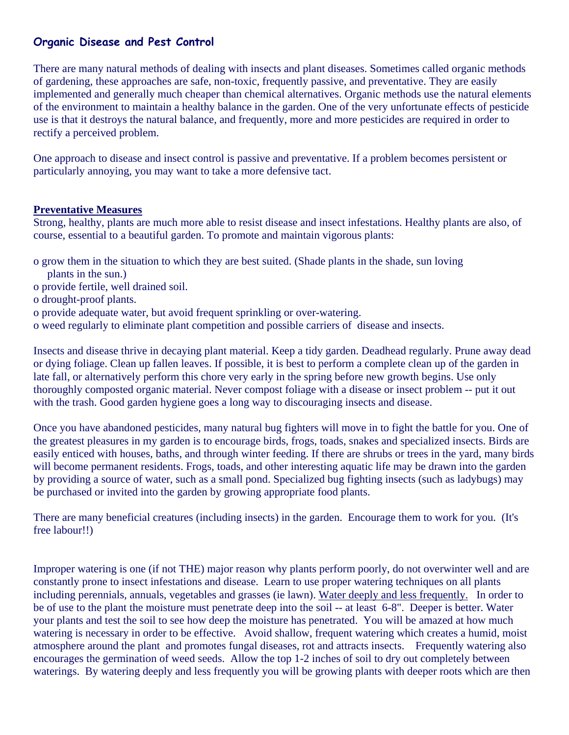# **Organic Disease and Pest Control**

There are many natural methods of dealing with insects and plant diseases. Sometimes called organic methods of gardening, these approaches are safe, non-toxic, frequently passive, and preventative. They are easily implemented and generally much cheaper than chemical alternatives. Organic methods use the natural elements of the environment to maintain a healthy balance in the garden. One of the very unfortunate effects of pesticide use is that it destroys the natural balance, and frequently, more and more pesticides are required in order to rectify a perceived problem.

One approach to disease and insect control is passive and preventative. If a problem becomes persistent or particularly annoying, you may want to take a more defensive tact.

# **Preventative Measures**

Strong, healthy, plants are much more able to resist disease and insect infestations. Healthy plants are also, of course, essential to a beautiful garden. To promote and maintain vigorous plants:

- o grow them in the situation to which they are best suited. (Shade plants in the shade, sun loving
- plants in the sun.)
- o provide fertile, well drained soil.
- o drought-proof plants.
- o provide adequate water, but avoid frequent sprinkling or over-watering.
- o weed regularly to eliminate plant competition and possible carriers of disease and insects.

Insects and disease thrive in decaying plant material. Keep a tidy garden. Deadhead regularly. Prune away dead or dying foliage. Clean up fallen leaves. If possible, it is best to perform a complete clean up of the garden in late fall, or alternatively perform this chore very early in the spring before new growth begins. Use only thoroughly composted organic material. Never compost foliage with a disease or insect problem -- put it out with the trash. Good garden hygiene goes a long way to discouraging insects and disease.

Once you have abandoned pesticides, many natural bug fighters will move in to fight the battle for you. One of the greatest pleasures in my garden is to encourage birds, frogs, toads, snakes and specialized insects. Birds are easily enticed with houses, baths, and through winter feeding. If there are shrubs or trees in the yard, many birds will become permanent residents. Frogs, toads, and other interesting aquatic life may be drawn into the garden by providing a source of water, such as a small pond. Specialized bug fighting insects (such as ladybugs) may be purchased or invited into the garden by growing appropriate food plants.

There are many beneficial creatures (including insects) in the garden. Encourage them to work for you. (It's free labour!!)

Improper watering is one (if not THE) major reason why plants perform poorly, do not overwinter well and are constantly prone to insect infestations and disease. Learn to use proper watering techniques on all plants including perennials, annuals, vegetables and grasses (ie lawn). Water deeply and less frequently. In order to be of use to the plant the moisture must penetrate deep into the soil -- at least 6-8". Deeper is better. Water your plants and test the soil to see how deep the moisture has penetrated. You will be amazed at how much watering is necessary in order to be effective. Avoid shallow, frequent watering which creates a humid, moist atmosphere around the plant and promotes fungal diseases, rot and attracts insects. Frequently watering also encourages the germination of weed seeds. Allow the top 1-2 inches of soil to dry out completely between waterings. By watering deeply and less frequently you will be growing plants with deeper roots which are then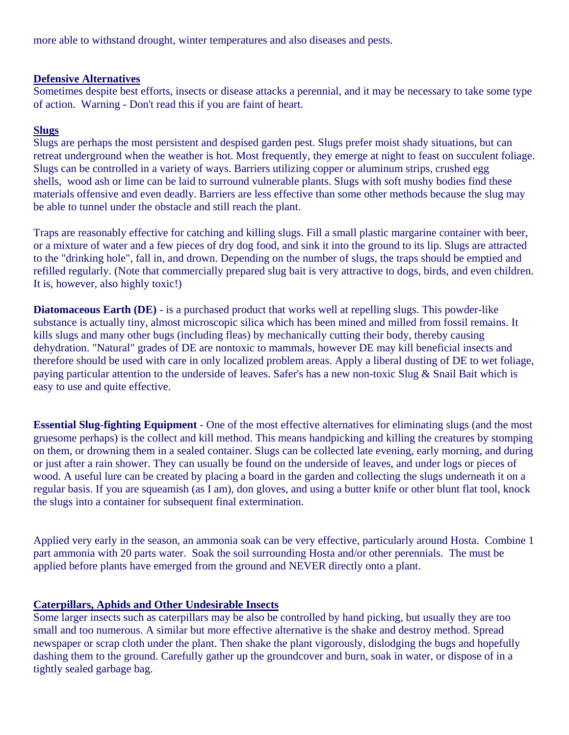more able to withstand drought, winter temperatures and also diseases and pests.

# **Defensive Alternatives**

Sometimes despite best efforts, insects or disease attacks a perennial, and it may be necessary to take some type of action. Warning - Don't read this if you are faint of heart.

# **Slugs**

Slugs are perhaps the most persistent and despised garden pest. Slugs prefer moist shady situations, but can retreat underground when the weather is hot. Most frequently, they emerge at night to feast on succulent foliage. Slugs can be controlled in a variety of ways. Barriers utilizing copper or aluminum strips, crushed egg shells, wood ash or lime can be laid to surround vulnerable plants. Slugs with soft mushy bodies find these materials offensive and even deadly. Barriers are less effective than some other methods because the slug may be able to tunnel under the obstacle and still reach the plant.

Traps are reasonably effective for catching and killing slugs. Fill a small plastic margarine container with beer, or a mixture of water and a few pieces of dry dog food, and sink it into the ground to its lip. Slugs are attracted to the "drinking hole", fall in, and drown. Depending on the number of slugs, the traps should be emptied and refilled regularly. (Note that commercially prepared slug bait is very attractive to dogs, birds, and even children. It is, however, also highly toxic!)

**Diatomaceous Earth (DE)** - is a purchased product that works well at repelling slugs. This powder-like substance is actually tiny, almost microscopic silica which has been mined and milled from fossil remains. It kills slugs and many other bugs (including fleas) by mechanically cutting their body, thereby causing dehydration. "Natural" grades of DE are nontoxic to mammals, however DE may kill beneficial insects and therefore should be used with care in only localized problem areas. Apply a liberal dusting of DE to wet foliage, paying particular attention to the underside of leaves. Safer's has a new non-toxic Slug & Snail Bait which is easy to use and quite effective.

**Essential Slug-fighting Equipment** - One of the most effective alternatives for eliminating slugs (and the most gruesome perhaps) is the collect and kill method. This means handpicking and killing the creatures by stomping on them, or drowning them in a sealed container. Slugs can be collected late evening, early morning, and during or just after a rain shower. They can usually be found on the underside of leaves, and under logs or pieces of wood. A useful lure can be created by placing a board in the garden and collecting the slugs underneath it on a regular basis. If you are squeamish (as I am), don gloves, and using a butter knife or other blunt flat tool, knock the slugs into a container for subsequent final extermination.

Applied very early in the season, an ammonia soak can be very effective, particularly around Hosta. Combine 1 part ammonia with 20 parts water. Soak the soil surrounding Hosta and/or other perennials. The must be applied before plants have emerged from the ground and NEVER directly onto a plant.

# **Caterpillars, Aphids and Other Undesirable Insects**

Some larger insects such as caterpillars may be also be controlled by hand picking, but usually they are too small and too numerous. A similar but more effective alternative is the shake and destroy method. Spread newspaper or scrap cloth under the plant. Then shake the plant vigorously, dislodging the bugs and hopefully dashing them to the ground. Carefully gather up the groundcover and burn, soak in water, or dispose of in a tightly sealed garbage bag.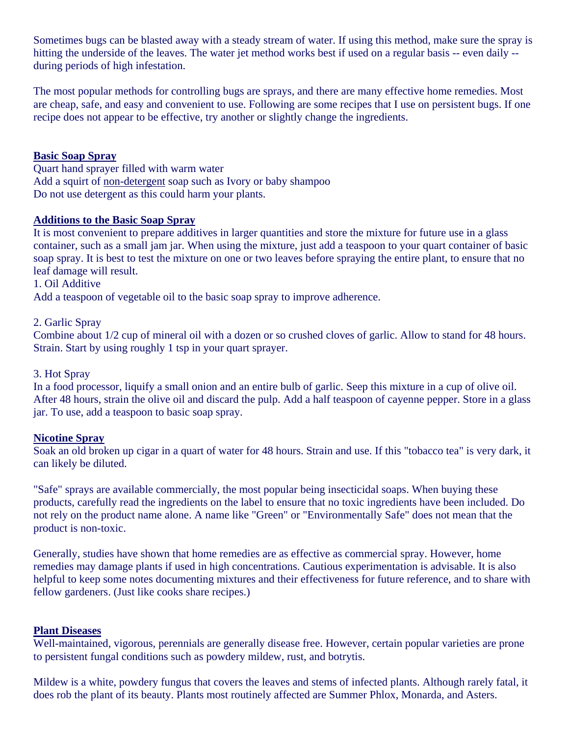Sometimes bugs can be blasted away with a steady stream of water. If using this method, make sure the spray is hitting the underside of the leaves. The water jet method works best if used on a regular basis -- even daily - during periods of high infestation.

The most popular methods for controlling bugs are sprays, and there are many effective home remedies. Most are cheap, safe, and easy and convenient to use. Following are some recipes that I use on persistent bugs. If one recipe does not appear to be effective, try another or slightly change the ingredients.

### **Basic Soap Spray**

Quart hand sprayer filled with warm water Add a squirt of non-detergent soap such as Ivory or baby shampoo Do not use detergent as this could harm your plants.

#### **Additions to the Basic Soap Spray**

It is most convenient to prepare additives in larger quantities and store the mixture for future use in a glass container, such as a small jam jar. When using the mixture, just add a teaspoon to your quart container of basic soap spray. It is best to test the mixture on one or two leaves before spraying the entire plant, to ensure that no leaf damage will result.

1. Oil Additive

Add a teaspoon of vegetable oil to the basic soap spray to improve adherence.

#### 2. Garlic Spray

Combine about 1/2 cup of mineral oil with a dozen or so crushed cloves of garlic. Allow to stand for 48 hours. Strain. Start by using roughly 1 tsp in your quart sprayer.

#### 3. Hot Spray

In a food processor, liquify a small onion and an entire bulb of garlic. Seep this mixture in a cup of olive oil. After 48 hours, strain the olive oil and discard the pulp. Add a half teaspoon of cayenne pepper. Store in a glass jar. To use, add a teaspoon to basic soap spray.

#### **Nicotine Spray**

Soak an old broken up cigar in a quart of water for 48 hours. Strain and use. If this "tobacco tea" is very dark, it can likely be diluted.

"Safe" sprays are available commercially, the most popular being insecticidal soaps. When buying these products, carefully read the ingredients on the label to ensure that no toxic ingredients have been included. Do not rely on the product name alone. A name like "Green" or "Environmentally Safe" does not mean that the product is non-toxic.

Generally, studies have shown that home remedies are as effective as commercial spray. However, home remedies may damage plants if used in high concentrations. Cautious experimentation is advisable. It is also helpful to keep some notes documenting mixtures and their effectiveness for future reference, and to share with fellow gardeners. (Just like cooks share recipes.)

#### **Plant Diseases**

Well-maintained, vigorous, perennials are generally disease free. However, certain popular varieties are prone to persistent fungal conditions such as powdery mildew, rust, and botrytis.

Mildew is a white, powdery fungus that covers the leaves and stems of infected plants. Although rarely fatal, it does rob the plant of its beauty. Plants most routinely affected are Summer Phlox, Monarda, and Asters.